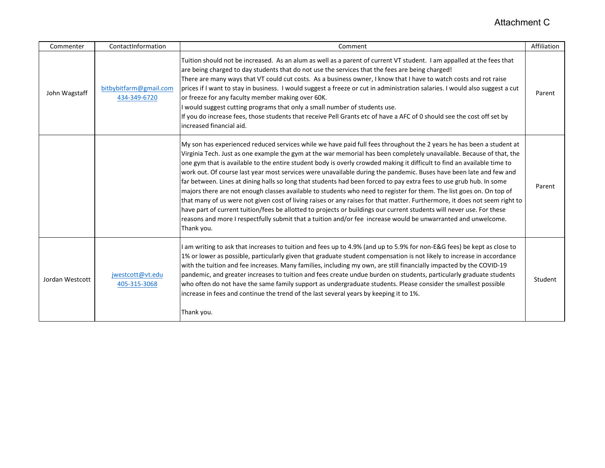## Attachment C

| Commenter       | ContactInformation                     | Comment                                                                                                                                                                                                                                                                                                                                                                                                                                                                                                                                                                                                                                                                                                                                                                                                                                                                                                                                                                                                                                                                                                                            | Affiliation |
|-----------------|----------------------------------------|------------------------------------------------------------------------------------------------------------------------------------------------------------------------------------------------------------------------------------------------------------------------------------------------------------------------------------------------------------------------------------------------------------------------------------------------------------------------------------------------------------------------------------------------------------------------------------------------------------------------------------------------------------------------------------------------------------------------------------------------------------------------------------------------------------------------------------------------------------------------------------------------------------------------------------------------------------------------------------------------------------------------------------------------------------------------------------------------------------------------------------|-------------|
| John Wagstaff   | bitbybitfarm@gmail.com<br>434-349-6720 | Tuition should not be increased. As an alum as well as a parent of current VT student. I am appalled at the fees that<br>are being charged to day students that do not use the services that the fees are being charged!<br>There are many ways that VT could cut costs. As a business owner, I know that I have to watch costs and rot raise<br>prices if I want to stay in business. I would suggest a freeze or cut in administration salaries. I would also suggest a cut<br>or freeze for any faculty member making over 60K.<br>I would suggest cutting programs that only a small number of students use.<br>If you do increase fees, those students that receive Pell Grants etc of have a AFC of 0 should see the cost off set by<br>increased financial aid.                                                                                                                                                                                                                                                                                                                                                             | Parent      |
|                 |                                        | My son has experienced reduced services while we have paid full fees throughout the 2 years he has been a student at<br>Virginia Tech. Just as one example the gym at the war memorial has been completely unavailable. Because of that, the<br>one gym that is available to the entire student body is overly crowded making it difficult to find an available time to<br>work out. Of course last year most services were unavailable during the pandemic. Buses have been late and few and<br>far between. Lines at dining halls so long that students had been forced to pay extra fees to use grub hub. In some<br>majors there are not enough classes available to students who need to register for them. The list goes on. On top of<br>that many of us were not given cost of living raises or any raises for that matter. Furthermore, it does not seem right to<br>have part of current tuition/fees be allotted to projects or buildings our current students will never use. For these<br>reasons and more I respectfully submit that a tuition and/or fee increase would be unwarranted and unwelcome.<br>Thank you. | Parent      |
| Jordan Westcott | jwestcott@vt.edu<br>405-315-3068       | I am writing to ask that increases to tuition and fees up to 4.9% (and up to 5.9% for non-E&G fees) be kept as close to<br>1% or lower as possible, particularly given that graduate student compensation is not likely to increase in accordance<br>with the tuition and fee increases. Many families, including my own, are still financially impacted by the COVID-19<br>pandemic, and greater increases to tuition and fees create undue burden on students, particularly graduate students<br>who often do not have the same family support as undergraduate students. Please consider the smallest possible<br>increase in fees and continue the trend of the last several years by keeping it to 1%.<br>Thank you.                                                                                                                                                                                                                                                                                                                                                                                                          | Student     |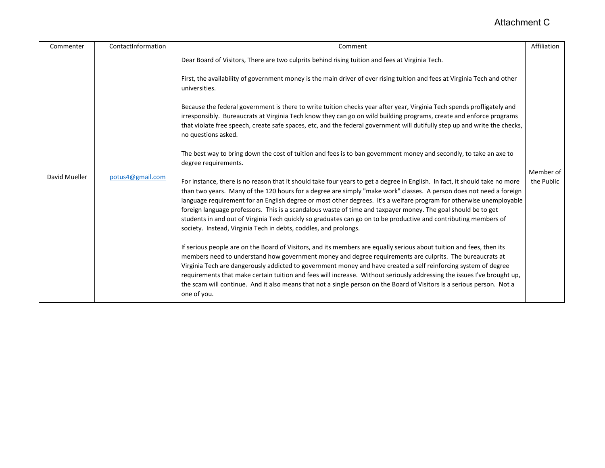## Attachment C

| Commenter     | ContactInformation | Comment                                                                                                                                                                                                                                                                                                                                                                                                                                                                                                                                                                                                                                                                                                                                                                                                                                                                                                                                                                                                                                                                                                                                                                                                                                                                                                                                                                                                                                                                                 | Affiliation             |
|---------------|--------------------|-----------------------------------------------------------------------------------------------------------------------------------------------------------------------------------------------------------------------------------------------------------------------------------------------------------------------------------------------------------------------------------------------------------------------------------------------------------------------------------------------------------------------------------------------------------------------------------------------------------------------------------------------------------------------------------------------------------------------------------------------------------------------------------------------------------------------------------------------------------------------------------------------------------------------------------------------------------------------------------------------------------------------------------------------------------------------------------------------------------------------------------------------------------------------------------------------------------------------------------------------------------------------------------------------------------------------------------------------------------------------------------------------------------------------------------------------------------------------------------------|-------------------------|
| David Mueller | potus4@gmail.com   | Dear Board of Visitors, There are two culprits behind rising tuition and fees at Virginia Tech.<br>First, the availability of government money is the main driver of ever rising tuition and fees at Virginia Tech and other<br>universities.<br>Because the federal government is there to write tuition checks year after year, Virginia Tech spends profligately and<br>irresponsibly. Bureaucrats at Virginia Tech know they can go on wild building programs, create and enforce programs<br>that violate free speech, create safe spaces, etc, and the federal government will dutifully step up and write the checks,<br>no questions asked.<br>The best way to bring down the cost of tuition and fees is to ban government money and secondly, to take an axe to<br>degree requirements.<br>For instance, there is no reason that it should take four years to get a degree in English. In fact, it should take no more<br>than two years. Many of the 120 hours for a degree are simply "make work" classes. A person does not need a foreign<br>language requirement for an English degree or most other degrees. It's a welfare program for otherwise unemployable<br>foreign language professors. This is a scandalous waste of time and taxpayer money. The goal should be to get<br>students in and out of Virginia Tech quickly so graduates can go on to be productive and contributing members of<br>society. Instead, Virginia Tech in debts, coddles, and prolongs. | Member of<br>the Public |
|               |                    | If serious people are on the Board of Visitors, and its members are equally serious about tuition and fees, then its<br>members need to understand how government money and degree requirements are culprits. The bureaucrats at<br>Virginia Tech are dangerously addicted to government money and have created a self reinforcing system of degree<br>requirements that make certain tuition and fees will increase. Without seriously addressing the issues I've brought up,<br>the scam will continue. And it also means that not a single person on the Board of Visitors is a serious person. Not a<br>one of you.                                                                                                                                                                                                                                                                                                                                                                                                                                                                                                                                                                                                                                                                                                                                                                                                                                                                 |                         |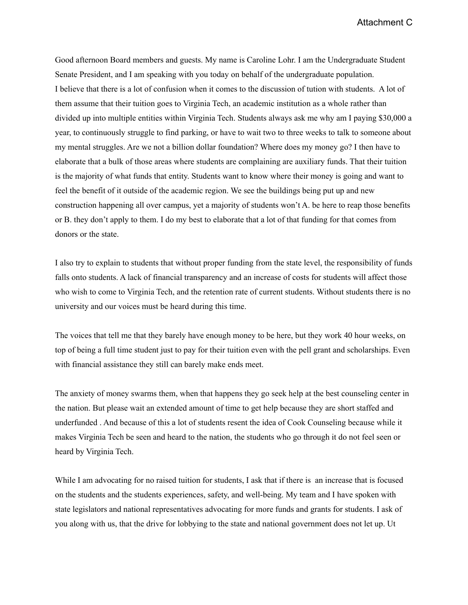Attachment C

Good afternoon Board members and guests. My name is Caroline Lohr. I am the Undergraduate Student Senate President, and I am speaking with you today on behalf of the undergraduate population. I believe that there is a lot of confusion when it comes to the discussion of tution with students. A lot of them assume that their tuition goes to Virginia Tech, an academic institution as a whole rather than divided up into multiple entities within Virginia Tech. Students always ask me why am I paying \$30,000 a year, to continuously struggle to find parking, or have to wait two to three weeks to talk to someone about my mental struggles. Are we not a billion dollar foundation? Where does my money go? I then have to elaborate that a bulk of those areas where students are complaining are auxiliary funds. That their tuition is the majority of what funds that entity. Students want to know where their money is going and want to feel the benefit of it outside of the academic region. We see the buildings being put up and new construction happening all over campus, yet a majority of students won't A. be here to reap those benefits or B. they don't apply to them. I do my best to elaborate that a lot of that funding for that comes from donors or the state.

I also try to explain to students that without proper funding from the state level, the responsibility of funds falls onto students. A lack of financial transparency and an increase of costs for students will affect those who wish to come to Virginia Tech, and the retention rate of current students. Without students there is no university and our voices must be heard during this time.

The voices that tell me that they barely have enough money to be here, but they work 40 hour weeks, on top of being a full time student just to pay for their tuition even with the pell grant and scholarships. Even with financial assistance they still can barely make ends meet.

The anxiety of money swarms them, when that happens they go seek help at the best counseling center in the nation. But please wait an extended amount of time to get help because they are short staffed and underfunded . And because of this a lot of students resent the idea of Cook Counseling because while it makes Virginia Tech be seen and heard to the nation, the students who go through it do not feel seen or heard by Virginia Tech.

While I am advocating for no raised tuition for students, I ask that if there is an increase that is focused on the students and the students experiences, safety, and well-being. My team and I have spoken with state legislators and national representatives advocating for more funds and grants for students. I ask of you along with us, that the drive for lobbying to the state and national government does not let up. Ut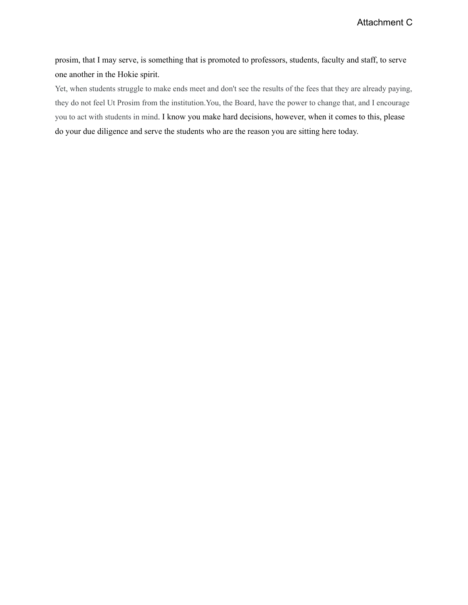prosim, that I may serve, is something that is promoted to professors, students, faculty and staff, to serve one another in the Hokie spirit.

Yet, when students struggle to make ends meet and don't see the results of the fees that they are already paying, they do not feel Ut Prosim from the institution.You, the Board, have the power to change that, and I encourage you to act with students in mind. I know you make hard decisions, however, when it comes to this, please do your due diligence and serve the students who are the reason you are sitting here today.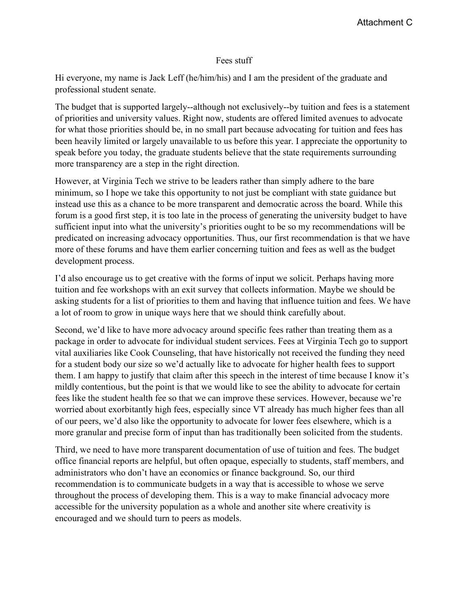## Fees stuff

Hi everyone, my name is Jack Leff (he/him/his) and I am the president of the graduate and professional student senate.

The budget that is supported largely--although not exclusively--by tuition and fees is a statement of priorities and university values. Right now, students are offered limited avenues to advocate for what those priorities should be, in no small part because advocating for tuition and fees has been heavily limited or largely unavailable to us before this year. I appreciate the opportunity to speak before you today, the graduate students believe that the state requirements surrounding more transparency are a step in the right direction.

However, at Virginia Tech we strive to be leaders rather than simply adhere to the bare minimum, so I hope we take this opportunity to not just be compliant with state guidance but instead use this as a chance to be more transparent and democratic across the board. While this forum is a good first step, it is too late in the process of generating the university budget to have sufficient input into what the university's priorities ought to be so my recommendations will be predicated on increasing advocacy opportunities. Thus, our first recommendation is that we have more of these forums and have them earlier concerning tuition and fees as well as the budget development process.

I'd also encourage us to get creative with the forms of input we solicit. Perhaps having more tuition and fee workshops with an exit survey that collects information. Maybe we should be asking students for a list of priorities to them and having that influence tuition and fees. We have a lot of room to grow in unique ways here that we should think carefully about.

Second, we'd like to have more advocacy around specific fees rather than treating them as a package in order to advocate for individual student services. Fees at Virginia Tech go to support vital auxiliaries like Cook Counseling, that have historically not received the funding they need for a student body our size so we'd actually like to advocate for higher health fees to support them. I am happy to justify that claim after this speech in the interest of time because I know it's mildly contentious, but the point is that we would like to see the ability to advocate for certain fees like the student health fee so that we can improve these services. However, because we're worried about exorbitantly high fees, especially since VT already has much higher fees than all of our peers, we'd also like the opportunity to advocate for lower fees elsewhere, which is a more granular and precise form of input than has traditionally been solicited from the students.

Third, we need to have more transparent documentation of use of tuition and fees. The budget office financial reports are helpful, but often opaque, especially to students, staff members, and administrators who don't have an economics or finance background. So, our third recommendation is to communicate budgets in a way that is accessible to whose we serve throughout the process of developing them. This is a way to make financial advocacy more accessible for the university population as a whole and another site where creativity is encouraged and we should turn to peers as models.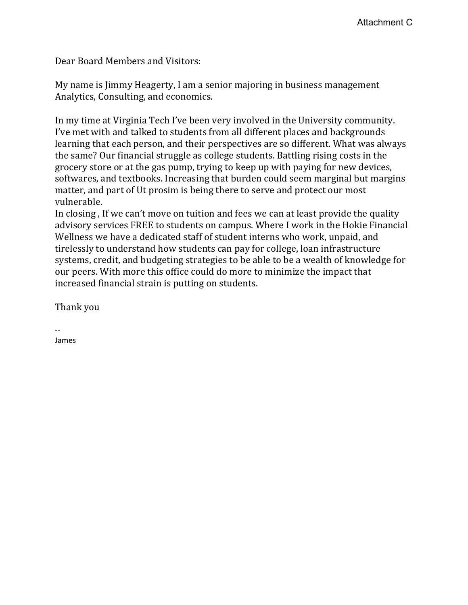Dear Board Members and Visitors:

My name is Jimmy Heagerty, I am a senior majoring in business management Analytics, Consulting, and economics.

In my time at Virginia Tech I've been very involved in the University community. I've met with and talked to students from all different places and backgrounds learning that each person, and their perspectives are so different. What was always the same? Our financial struggle as college students. Battling rising costs in the grocery store or at the gas pump, trying to keep up with paying for new devices, softwares, and textbooks. Increasing that burden could seem marginal but margins matter, and part of Ut prosim is being there to serve and protect our most vulnerable.

In closing , If we can't move on tuition and fees we can at least provide the quality advisory services FREE to students on campus. Where I work in the Hokie Financial Wellness we have a dedicated staff of student interns who work, unpaid, and tirelessly to understand how students can pay for college, loan infrastructure systems, credit, and budgeting strategies to be able to be a wealth of knowledge for our peers. With more this office could do more to minimize the impact that increased financial strain is putting on students.

Thank you

-- James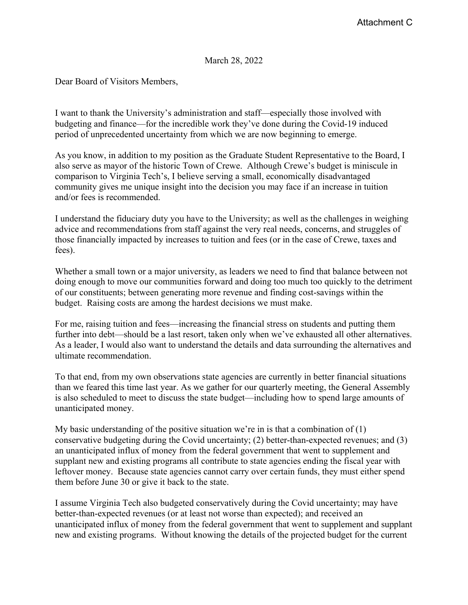March 28, 2022

Dear Board of Visitors Members,

I want to thank the University's administration and staff—especially those involved with budgeting and finance—for the incredible work they've done during the Covid-19 induced period of unprecedented uncertainty from which we are now beginning to emerge.

As you know, in addition to my position as the Graduate Student Representative to the Board, I also serve as mayor of the historic Town of Crewe. Although Crewe's budget is miniscule in comparison to Virginia Tech's, I believe serving a small, economically disadvantaged community gives me unique insight into the decision you may face if an increase in tuition and/or fees is recommended.

I understand the fiduciary duty you have to the University; as well as the challenges in weighing advice and recommendations from staff against the very real needs, concerns, and struggles of those financially impacted by increases to tuition and fees (or in the case of Crewe, taxes and fees).

Whether a small town or a major university, as leaders we need to find that balance between not doing enough to move our communities forward and doing too much too quickly to the detriment of our constituents; between generating more revenue and finding cost-savings within the budget. Raising costs are among the hardest decisions we must make.

For me, raising tuition and fees—increasing the financial stress on students and putting them further into debt—should be a last resort, taken only when we've exhausted all other alternatives. As a leader, I would also want to understand the details and data surrounding the alternatives and ultimate recommendation.

To that end, from my own observations state agencies are currently in better financial situations than we feared this time last year. As we gather for our quarterly meeting, the General Assembly is also scheduled to meet to discuss the state budget—including how to spend large amounts of unanticipated money.

My basic understanding of the positive situation we're in is that a combination of (1) conservative budgeting during the Covid uncertainty; (2) better-than-expected revenues; and (3) an unanticipated influx of money from the federal government that went to supplement and supplant new and existing programs all contribute to state agencies ending the fiscal year with leftover money. Because state agencies cannot carry over certain funds, they must either spend them before June 30 or give it back to the state.

I assume Virginia Tech also budgeted conservatively during the Covid uncertainty; may have better-than-expected revenues (or at least not worse than expected); and received an unanticipated influx of money from the federal government that went to supplement and supplant new and existing programs. Without knowing the details of the projected budget for the current